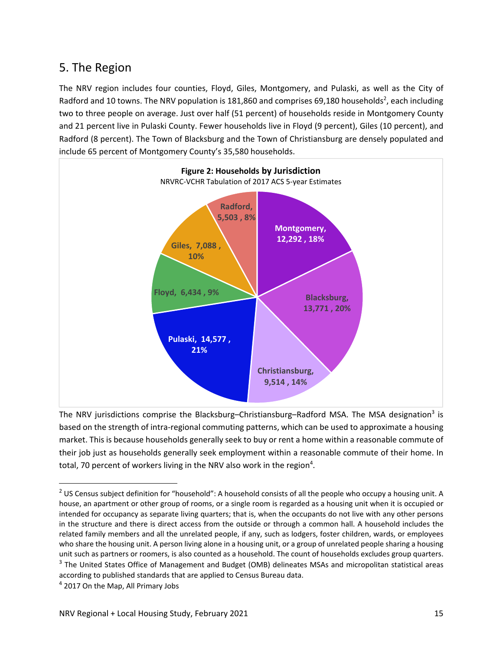# 5. The Region

The NRV region includes four counties, Floyd, Giles, Montgomery, and Pulaski, as well as the City of Radford and 10 towns. The NRV population is 181,860 and comprises 69,180 households<sup>2</sup>, each including two to three people on average. Just over half (51 percent) of households reside in Montgomery County and 21 percent live in Pulaski County. Fewer households live in Floyd (9 percent), Giles (10 percent), and Radford (8 percent). The Town of Blacksburg and the Town of Christiansburg are densely populated and include 65 percent of Montgomery County's 35,580 households.



The NRV jurisdictions comprise the Blacksburg–Christiansburg–Radford MSA. The MSA designation<sup>3</sup> is based on the strength of intra‐regional commuting patterns, which can be used to approximate a housing market. This is because households generally seek to buy or rent a home within a reasonable commute of their job just as households generally seek employment within a reasonable commute of their home. In total, 70 percent of workers living in the NRV also work in the region<sup>4</sup>.

 $2$  US Census subject definition for "household": A household consists of all the people who occupy a housing unit. A house, an apartment or other group of rooms, or a single room is regarded as a housing unit when it is occupied or intended for occupancy as separate living quarters; that is, when the occupants do not live with any other persons in the structure and there is direct access from the outside or through a common hall. A household includes the related family members and all the unrelated people, if any, such as lodgers, foster children, wards, or employees who share the housing unit. A person living alone in a housing unit, or a group of unrelated people sharing a housing unit such as partners or roomers, is also counted as a household. The count of households excludes group quarters. <sup>3</sup> The United States Office of Management and Budget (OMB) delineates MSAs and micropolitan statistical areas according to published standards that are applied to Census Bureau data.

<sup>&</sup>lt;sup>4</sup> 2017 On the Map, All Primary Jobs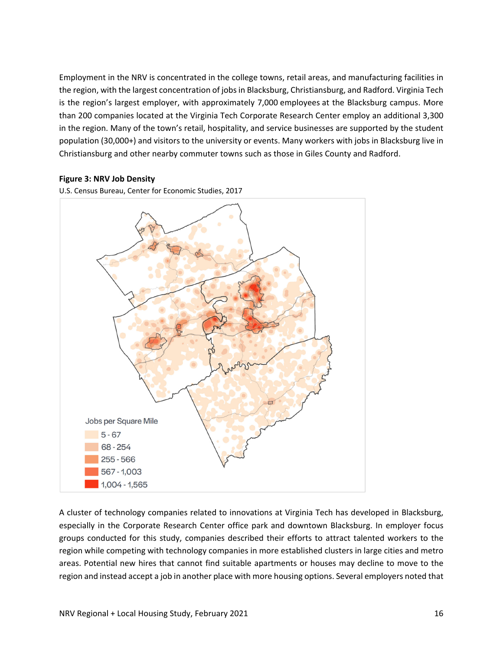Employment in the NRV is concentrated in the college towns, retail areas, and manufacturing facilities in the region, with the largest concentration of jobs in Blacksburg, Christiansburg, and Radford. Virginia Tech is the region's largest employer, with approximately 7,000 employees at the Blacksburg campus. More than 200 companies located at the Virginia Tech Corporate Research Center employ an additional 3,300 in the region. Many of the town's retail, hospitality, and service businesses are supported by the student population (30,000+) and visitors to the university or events. Many workers with jobs in Blacksburg live in Christiansburg and other nearby commuter towns such as those in Giles County and Radford.

### **Figure 3: NRV Job Density**



U.S. Census Bureau, Center for Economic Studies, 2017

A cluster of technology companies related to innovations at Virginia Tech has developed in Blacksburg, especially in the Corporate Research Center office park and downtown Blacksburg. In employer focus groups conducted for this study, companies described their efforts to attract talented workers to the region while competing with technology companies in more established clusters in large cities and metro areas. Potential new hires that cannot find suitable apartments or houses may decline to move to the region and instead accept a job in another place with more housing options. Several employers noted that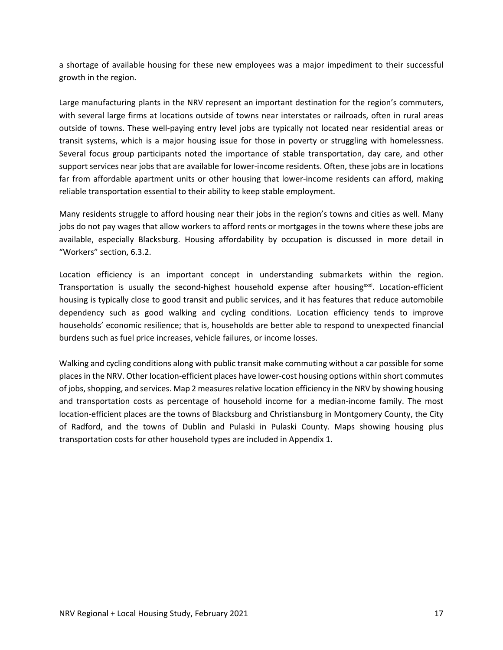a shortage of available housing for these new employees was a major impediment to their successful growth in the region.

Large manufacturing plants in the NRV represent an important destination for the region's commuters, with several large firms at locations outside of towns near interstates or railroads, often in rural areas outside of towns. These well‐paying entry level jobs are typically not located near residential areas or transit systems, which is a major housing issue for those in poverty or struggling with homelessness. Several focus group participants noted the importance of stable transportation, day care, and other support services near jobs that are available for lower-income residents. Often, these jobs are in locations far from affordable apartment units or other housing that lower-income residents can afford, making reliable transportation essential to their ability to keep stable employment.

Many residents struggle to afford housing near their jobs in the region's towns and cities as well. Many jobs do not pay wages that allow workers to afford rents or mortgages in the towns where these jobs are available, especially Blacksburg. Housing affordability by occupation is discussed in more detail in "Workers" section, 6.3.2.

Location efficiency is an important concept in understanding submarkets within the region. Transportation is usually the second-highest household expense after housing $xxi$ . Location-efficient housing is typically close to good transit and public services, and it has features that reduce automobile dependency such as good walking and cycling conditions. Location efficiency tends to improve households' economic resilience; that is, households are better able to respond to unexpected financial burdens such as fuel price increases, vehicle failures, or income losses.

Walking and cycling conditions along with public transit make commuting without a car possible for some places in the NRV. Other location‐efficient places have lower‐cost housing options within short commutes of jobs, shopping, and services. Map 2 measures relative location efficiency in the NRV by showing housing and transportation costs as percentage of household income for a median‐income family. The most location‐efficient places are the towns of Blacksburg and Christiansburg in Montgomery County, the City of Radford, and the towns of Dublin and Pulaski in Pulaski County. Maps showing housing plus transportation costs for other household types are included in Appendix 1.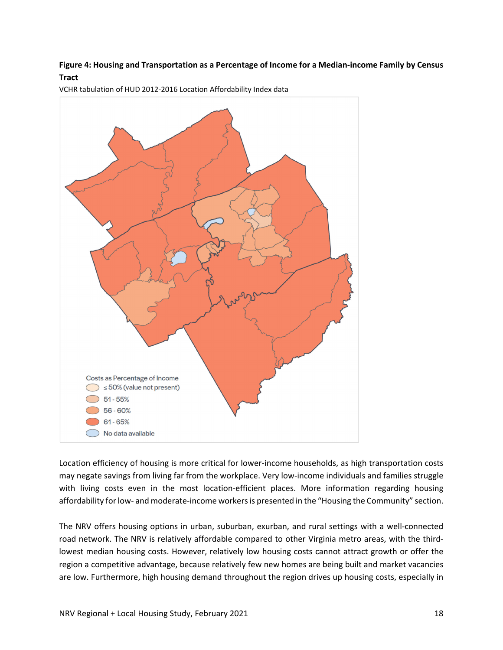## Figure 4: Housing and Transportation as a Percentage of Income for a Median-income Family by Census **Tract**



VCHR tabulation of HUD 2012‐2016 Location Affordability Index data

Location efficiency of housing is more critical for lower‐income households, as high transportation costs may negate savings from living far from the workplace. Very low-income individuals and families struggle with living costs even in the most location-efficient places. More information regarding housing affordability for low- and moderate-income workers is presented in the "Housing the Community" section.

The NRV offers housing options in urban, suburban, exurban, and rural settings with a well-connected road network. The NRV is relatively affordable compared to other Virginia metro areas, with the third‐ lowest median housing costs. However, relatively low housing costs cannot attract growth or offer the region a competitive advantage, because relatively few new homes are being built and market vacancies are low. Furthermore, high housing demand throughout the region drives up housing costs, especially in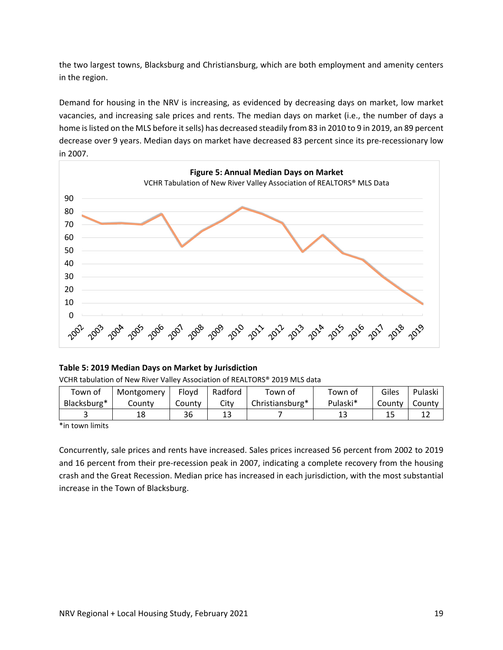the two largest towns, Blacksburg and Christiansburg, which are both employment and amenity centers in the region.

Demand for housing in the NRV is increasing, as evidenced by decreasing days on market, low market vacancies, and increasing sale prices and rents. The median days on market (i.e., the number of days a home is listed on the MLS before it sells) has decreased steadily from 83 in 2010 to 9 in 2019, an 89 percent decrease over 9 years. Median days on market have decreased 83 percent since its pre‐recessionary low in 2007.



### **Table 5: 2019 Median Days on Market by Jurisdiction**

VCHR tabulation of New River Valley Association of REALTORS® 2019 MLS data

| Town of     | Montgomery | Flovd  | Radford | Town of         | Town of  | Giles  | Pulaski |
|-------------|------------|--------|---------|-----------------|----------|--------|---------|
| Blacksburg* | Countv     | County | Citv    | Christiansburg* | Pulaski* | County | County  |
|             | 18         | 36     | ⊥ఎ      |                 |          |        |         |

\*in town limits

Concurrently, sale prices and rents have increased. Sales prices increased 56 percent from 2002 to 2019 and 16 percent from their pre-recession peak in 2007, indicating a complete recovery from the housing crash and the Great Recession. Median price has increased in each jurisdiction, with the most substantial increase in the Town of Blacksburg.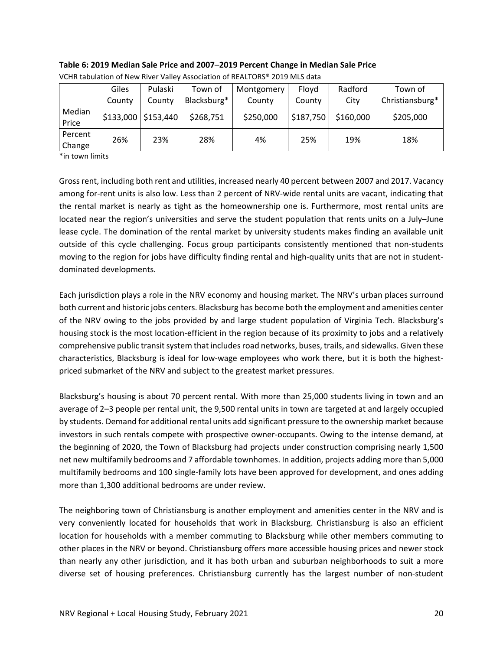|                   | Giles  | Pulaski               | Town of     | Montgomery | Flovd     | Radford   | Town of         |
|-------------------|--------|-----------------------|-------------|------------|-----------|-----------|-----------------|
|                   | County | County                | Blacksburg* | County     | County    | City      | Christiansburg* |
| Median<br>Price   |        | $$133,000$ $$153,440$ | \$268,751   | \$250,000  | \$187,750 | \$160,000 | \$205,000       |
| Percent<br>Change | 26%    | 23%                   | 28%         | 4%         | 25%       | 19%       | 18%             |

**Table 6: 2019 Median Sale Price and 2007─2019 Percent Change in Median Sale Price** VCHR tabulation of New River Valley Association of REALTORS® 2019 MLS data

\*in town limits

Grossrent, including both rent and utilities, increased nearly 40 percent between 2007 and 2017. Vacancy among for-rent units is also low. Less than 2 percent of NRV-wide rental units are vacant, indicating that the rental market is nearly as tight as the homeownership one is. Furthermore, most rental units are located near the region's universities and serve the student population that rents units on a July–June lease cycle. The domination of the rental market by university students makes finding an available unit outside of this cycle challenging. Focus group participants consistently mentioned that non‐students moving to the region for jobs have difficulty finding rental and high-quality units that are not in studentdominated developments.

Each jurisdiction plays a role in the NRV economy and housing market. The NRV's urban places surround both current and historic jobs centers. Blacksburg has become both the employment and amenities center of the NRV owing to the jobs provided by and large student population of Virginia Tech. Blacksburg's housing stock is the most location‐efficient in the region because of its proximity to jobs and a relatively comprehensive public transit system that includes road networks, buses, trails, and sidewalks. Given these characteristics, Blacksburg is ideal for low-wage employees who work there, but it is both the highestpriced submarket of the NRV and subject to the greatest market pressures.

Blacksburg's housing is about 70 percent rental. With more than 25,000 students living in town and an average of 2–3 people per rental unit, the 9,500 rental units in town are targeted at and largely occupied by students. Demand for additional rental units add significant pressure to the ownership market because investors in such rentals compete with prospective owner‐occupants. Owing to the intense demand, at the beginning of 2020, the Town of Blacksburg had projects under construction comprising nearly 1,500 net new multifamily bedrooms and 7 affordable townhomes. In addition, projects adding more than 5,000 multifamily bedrooms and 100 single‐family lots have been approved for development, and ones adding more than 1,300 additional bedrooms are under review.

The neighboring town of Christiansburg is another employment and amenities center in the NRV and is very conveniently located for households that work in Blacksburg. Christiansburg is also an efficient location for households with a member commuting to Blacksburg while other members commuting to other places in the NRV or beyond. Christiansburg offers more accessible housing prices and newer stock than nearly any other jurisdiction, and it has both urban and suburban neighborhoods to suit a more diverse set of housing preferences. Christiansburg currently has the largest number of non‐student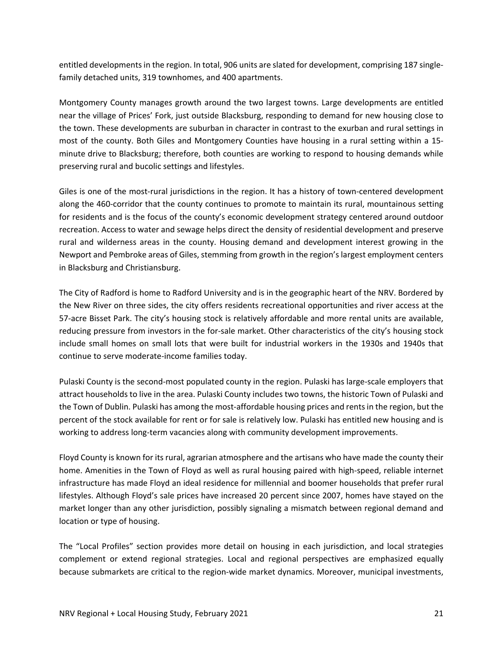entitled developments in the region. In total, 906 units are slated for development, comprising 187 singlefamily detached units, 319 townhomes, and 400 apartments.

Montgomery County manages growth around the two largest towns. Large developments are entitled near the village of Prices' Fork, just outside Blacksburg, responding to demand for new housing close to the town. These developments are suburban in character in contrast to the exurban and rural settings in most of the county. Both Giles and Montgomery Counties have housing in a rural setting within a 15‐ minute drive to Blacksburg; therefore, both counties are working to respond to housing demands while preserving rural and bucolic settings and lifestyles.

Giles is one of the most-rural jurisdictions in the region. It has a history of town-centered development along the 460‐corridor that the county continues to promote to maintain its rural, mountainous setting for residents and is the focus of the county's economic development strategy centered around outdoor recreation. Access to water and sewage helps direct the density of residential development and preserve rural and wilderness areas in the county. Housing demand and development interest growing in the Newport and Pembroke areas of Giles, stemming from growth in the region's largest employment centers in Blacksburg and Christiansburg.

The City of Radford is home to Radford University and is in the geographic heart of the NRV. Bordered by the New River on three sides, the city offers residents recreational opportunities and river access at the 57‐acre Bisset Park. The city's housing stock is relatively affordable and more rental units are available, reducing pressure from investors in the for-sale market. Other characteristics of the city's housing stock include small homes on small lots that were built for industrial workers in the 1930s and 1940s that continue to serve moderate‐income families today.

Pulaski County is the second‐most populated county in the region. Pulaski has large‐scale employers that attract households to live in the area. Pulaski County includes two towns, the historic Town of Pulaski and the Town of Dublin. Pulaski has among the most-affordable housing prices and rents in the region, but the percent of the stock available for rent or for sale is relatively low. Pulaski has entitled new housing and is working to address long-term vacancies along with community development improvements.

Floyd County is known for its rural, agrarian atmosphere and the artisans who have made the county their home. Amenities in the Town of Floyd as well as rural housing paired with high-speed, reliable internet infrastructure has made Floyd an ideal residence for millennial and boomer households that prefer rural lifestyles. Although Floyd's sale prices have increased 20 percent since 2007, homes have stayed on the market longer than any other jurisdiction, possibly signaling a mismatch between regional demand and location or type of housing.

The "Local Profiles" section provides more detail on housing in each jurisdiction, and local strategies complement or extend regional strategies. Local and regional perspectives are emphasized equally because submarkets are critical to the region-wide market dynamics. Moreover, municipal investments,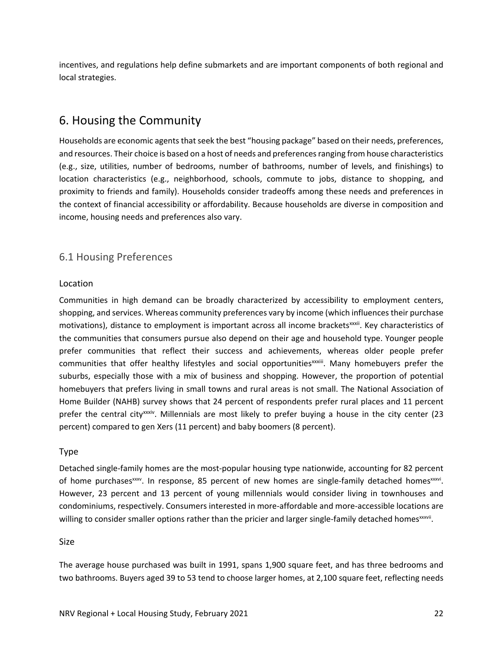incentives, and regulations help define submarkets and are important components of both regional and local strategies.

# 6. Housing the Community

Households are economic agents that seek the best "housing package" based on their needs, preferences, and resources. Their choice is based on a host of needs and preferences ranging from house characteristics (e.g., size, utilities, number of bedrooms, number of bathrooms, number of levels, and finishings) to location characteristics (e.g., neighborhood, schools, commute to jobs, distance to shopping, and proximity to friends and family). Households consider tradeoffs among these needs and preferences in the context of financial accessibility or affordability. Because households are diverse in composition and income, housing needs and preferences also vary.

# 6.1 Housing Preferences

### Location

Communities in high demand can be broadly characterized by accessibility to employment centers, shopping, and services. Whereas community preferences vary by income (which influences their purchase motivations), distance to employment is important across all income brackets<sup>xxxii</sup>. Key characteristics of the communities that consumers pursue also depend on their age and household type. Younger people prefer communities that reflect their success and achievements, whereas older people prefer communities that offer healthy lifestyles and social opportunities<sup>xxxiii</sup>. Many homebuyers prefer the suburbs, especially those with a mix of business and shopping. However, the proportion of potential homebuyers that prefers living in small towns and rural areas is not small. The National Association of Home Builder (NAHB) survey shows that 24 percent of respondents prefer rural places and 11 percent prefer the central city<sup>xxiv</sup>. Millennials are most likely to prefer buying a house in the city center (23 percent) compared to gen Xers (11 percent) and baby boomers (8 percent).

## Type

Detached single‐family homes are the most‐popular housing type nationwide, accounting for 82 percent of home purchases  $xxy$ . In response, 85 percent of new homes are single-family detached homes  $xxy$ . However, 23 percent and 13 percent of young millennials would consider living in townhouses and condominiums, respectively. Consumers interested in more‐affordable and more‐accessible locations are willing to consider smaller options rather than the pricier and larger single-family detached homes<sup>xxxvii</sup>.

### Size

The average house purchased was built in 1991, spans 1,900 square feet, and has three bedrooms and two bathrooms. Buyers aged 39 to 53 tend to choose larger homes, at 2,100 square feet, reflecting needs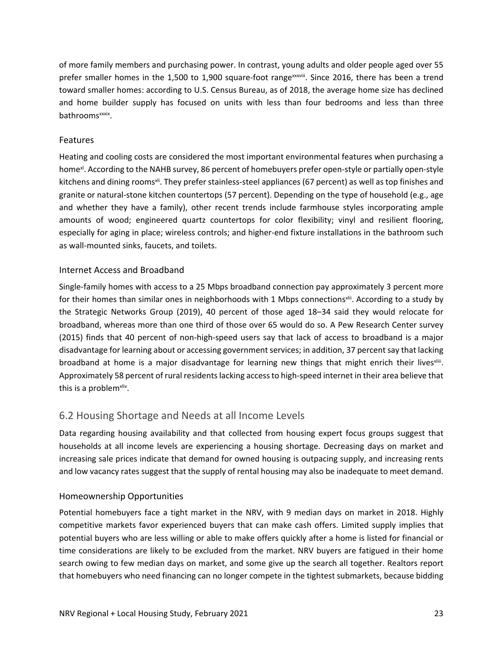of more family members and purchasing power. In contrast, young adults and older people aged over 55 prefer smaller homes in the 1,500 to 1,900 square-foot rangexxxiii. Since 2016, there has been a trend toward smaller homes: according to U.S. Census Bureau, as of 2018, the average home size has declined and home builder supply has focused on units with less than four bedrooms and less than three bathroomsxxxix.

## Features

Heating and cooling costs are considered the most important environmental features when purchasing a home<sup>x</sup>. According to the NAHB survey, 86 percent of homebuyers prefer open-style or partially open-style kitchens and dining rooms<sup>xii</sup>. They prefer stainless-steel appliances (67 percent) as well as top finishes and granite or natural‐stone kitchen countertops (57 percent). Depending on the type of household (e.g., age and whether they have a family), other recent trends include farmhouse styles incorporating ample amounts of wood; engineered quartz countertops for color flexibility; vinyl and resilient flooring, especially for aging in place; wireless controls; and higher-end fixture installations in the bathroom such as wall‐mounted sinks, faucets, and toilets.

## Internet Access and Broadband

Single‐family homes with access to a 25 Mbps broadband connection pay approximately 3 percent more for their homes than similar ones in neighborhoods with 1 Mbps connections<sup>xii</sup>. According to a study by the Strategic Networks Group (2019), 40 percent of those aged 18–34 said they would relocate for broadband, whereas more than one third of those over 65 would do so. A Pew Research Center survey (2015) finds that 40 percent of non‐high‐speed users say that lack of access to broadband is a major disadvantage for learning about or accessing government services; in addition, 37 percent say that lacking broadband at home is a major disadvantage for learning new things that might enrich their lives<sup>xiii</sup>. Approximately 58 percent of rural residents lacking access to high-speed internet in their area believe that this is a problem<sup>xliv</sup>.

# 6.2 Housing Shortage and Needs at all Income Levels

Data regarding housing availability and that collected from housing expert focus groups suggest that households at all income levels are experiencing a housing shortage. Decreasing days on market and increasing sale prices indicate that demand for owned housing is outpacing supply, and increasing rents and low vacancy rates suggest that the supply of rental housing may also be inadequate to meet demand.

## Homeownership Opportunities

Potential homebuyers face a tight market in the NRV, with 9 median days on market in 2018. Highly competitive markets favor experienced buyers that can make cash offers. Limited supply implies that potential buyers who are less willing or able to make offers quickly after a home is listed for financial or time considerations are likely to be excluded from the market. NRV buyers are fatigued in their home search owing to few median days on market, and some give up the search all together. Realtors report that homebuyers who need financing can no longer compete in the tightest submarkets, because bidding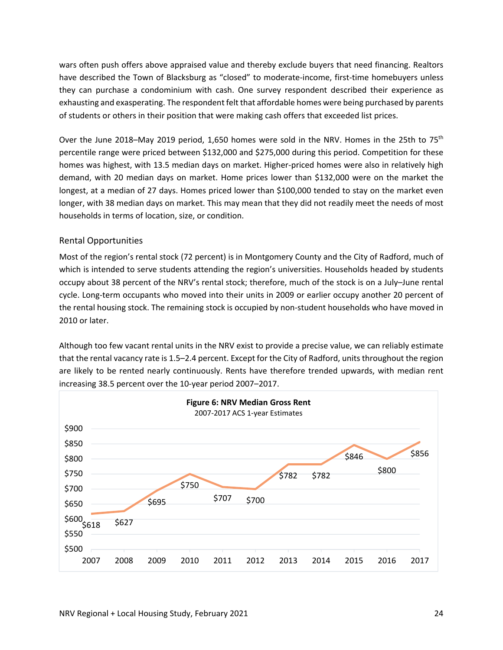wars often push offers above appraised value and thereby exclude buyers that need financing. Realtors have described the Town of Blacksburg as "closed" to moderate-income, first-time homebuyers unless they can purchase a condominium with cash. One survey respondent described their experience as exhausting and exasperating. The respondent felt that affordable homes were being purchased by parents of students or others in their position that were making cash offers that exceeded list prices.

Over the June 2018–May 2019 period, 1,650 homes were sold in the NRV. Homes in the 25th to 75<sup>th</sup> percentile range were priced between \$132,000 and \$275,000 during this period. Competition for these homes was highest, with 13.5 median days on market. Higher-priced homes were also in relatively high demand, with 20 median days on market. Home prices lower than \$132,000 were on the market the longest, at a median of 27 days. Homes priced lower than \$100,000 tended to stay on the market even longer, with 38 median days on market. This may mean that they did not readily meet the needs of most households in terms of location, size, or condition.

## Rental Opportunities

Most of the region's rental stock (72 percent) is in Montgomery County and the City of Radford, much of which is intended to serve students attending the region's universities. Households headed by students occupy about 38 percent of the NRV's rental stock; therefore, much of the stock is on a July–June rental cycle. Long‐term occupants who moved into their units in 2009 or earlier occupy another 20 percent of the rental housing stock. The remaining stock is occupied by non‐student households who have moved in 2010 or later.

Although too few vacant rental units in the NRV exist to provide a precise value, we can reliably estimate that the rental vacancy rate is 1.5–2.4 percent. Except for the City of Radford, units throughout the region are likely to be rented nearly continuously. Rents have therefore trended upwards, with median rent increasing 38.5 percent over the 10‐year period 2007–2017.

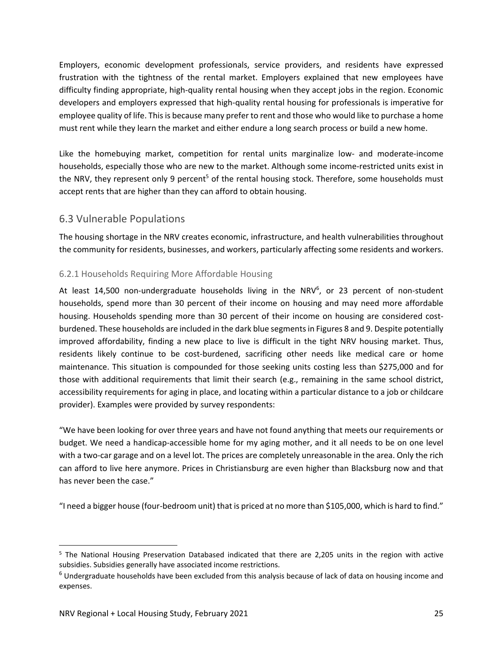Employers, economic development professionals, service providers, and residents have expressed frustration with the tightness of the rental market. Employers explained that new employees have difficulty finding appropriate, high‐quality rental housing when they accept jobs in the region. Economic developers and employers expressed that high‐quality rental housing for professionals is imperative for employee quality of life. This is because many prefer to rent and those who would like to purchase a home must rent while they learn the market and either endure a long search process or build a new home.

Like the homebuying market, competition for rental units marginalize low- and moderate-income households, especially those who are new to the market. Although some income‐restricted units exist in the NRV, they represent only 9 percent<sup>5</sup> of the rental housing stock. Therefore, some households must accept rents that are higher than they can afford to obtain housing.

## 6.3 Vulnerable Populations

The housing shortage in the NRV creates economic, infrastructure, and health vulnerabilities throughout the community for residents, businesses, and workers, particularly affecting some residents and workers.

## 6.2.1 Households Requiring More Affordable Housing

At least 14,500 non-undergraduate households living in the NRV<sup>6</sup>, or 23 percent of non-student households, spend more than 30 percent of their income on housing and may need more affordable housing. Households spending more than 30 percent of their income on housing are considered costburdened. These households are included in the dark blue segmentsin Figures 8 and 9. Despite potentially improved affordability, finding a new place to live is difficult in the tight NRV housing market. Thus, residents likely continue to be cost-burdened, sacrificing other needs like medical care or home maintenance. This situation is compounded for those seeking units costing less than \$275,000 and for those with additional requirements that limit their search (e.g., remaining in the same school district, accessibility requirements for aging in place, and locating within a particular distance to a job or childcare provider). Examples were provided by survey respondents:

"We have been looking for over three years and have not found anything that meets our requirements or budget. We need a handicap‐accessible home for my aging mother, and it all needs to be on one level with a two-car garage and on a level lot. The prices are completely unreasonable in the area. Only the rich can afford to live here anymore. Prices in Christiansburg are even higher than Blacksburg now and that has never been the case."

"I need a bigger house (four‐bedroom unit) that is priced at no more than \$105,000, which is hard to find."

<sup>&</sup>lt;sup>5</sup> The National Housing Preservation Databased indicated that there are 2,205 units in the region with active subsidies. Subsidies generally have associated income restrictions.

<sup>6</sup> Undergraduate households have been excluded from this analysis because of lack of data on housing income and expenses.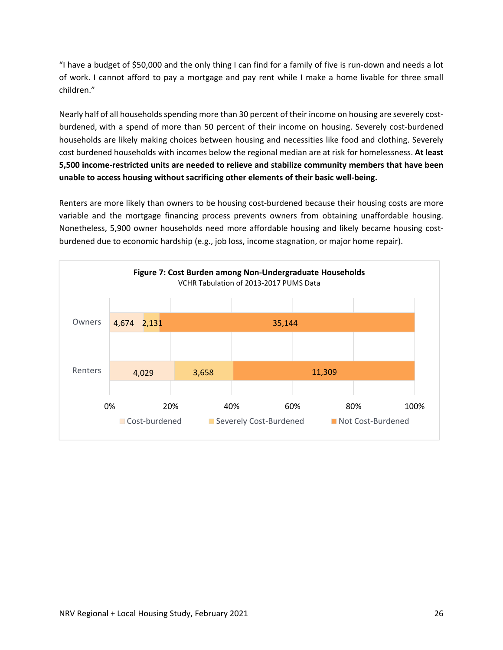"I have a budget of \$50,000 and the only thing I can find for a family of five is run‐down and needs a lot of work. I cannot afford to pay a mortgage and pay rent while I make a home livable for three small children."

Nearly half of all households spending more than 30 percent of their income on housing are severely cost‐ burdened, with a spend of more than 50 percent of their income on housing. Severely cost‐burdened households are likely making choices between housing and necessities like food and clothing. Severely cost burdened households with incomes below the regional median are at risk for homelessness. **At least 5,500 income‐restricted units are needed to relieve and stabilize community members that have been unable to access housing without sacrificing other elements of their basic well‐being.**

Renters are more likely than owners to be housing cost-burdened because their housing costs are more variable and the mortgage financing process prevents owners from obtaining unaffordable housing. Nonetheless, 5,900 owner households need more affordable housing and likely became housing cost‐ burdened due to economic hardship (e.g., job loss, income stagnation, or major home repair).

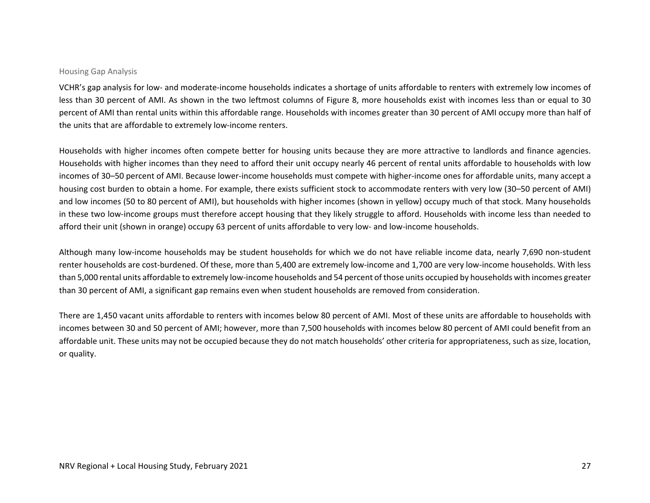#### Housing Gap Analysis

VCHR's gap analysis for low‐ and moderate‐income households indicates <sup>a</sup> shortage of units affordable to renters with extremely low incomes of less than 30 percent of AMI. As shown in the two leftmost columns of Figure 8, more households exist with incomes less than or equal to 30 percent of AMI than rental units within this affordable range. Households with incomes greater than 30 percent of AMI occupy more than half of the units that are affordable to extremely low‐income renters.

Households with higher incomes often compete better for housing units because they are more attractive to landlords and finance agencies. Households with higher incomes than they need to afford their unit occupy nearly 46 percent of rental units affordable to households with low incomes of 30–50 percent of AMI. Because lower‐income households must compete with higher‐income ones for affordable units, many accept <sup>a</sup> housing cost burden to obtain <sup>a</sup> home. For example, there exists sufficient stock to accommodate renters with very low (30–50 percent of AMI) and low incomes (50 to 80 percent of AMI), but households with higher incomes (shown in yellow) occupy much of that stock. Many households in these two low‐income groups must therefore accept housing that they likely struggle to afford. Households with income less than needed to afford their unit (shown in orange) occupy 63 percent of units affordable to very low‐ and low‐income households.

Although many low‐income households may be student households for which we do not have reliable income data, nearly 7,690 non‐student renter households are cost‐burdened. Of these, more than 5,400 are extremely low‐income and 1,700 are very low‐income households. With less than 5,000 rental units affordable to extremely low‐income households and 54 percent of those units occupied by households with incomes greater than 30 percent of AMI, <sup>a</sup> significant gap remains even when student households are removed from consideration.

There are 1,450 vacant units affordable to renters with incomes below 80 percent of AMI. Most of these units are affordable to households with incomes between 30 and 50 percent of AMI; however, more than 7,500 households with incomes below 80 percent of AMI could benefit from an affordable unit. These units may not be occupied because they do not match households' other criteria for appropriateness, such as size, location, or quality.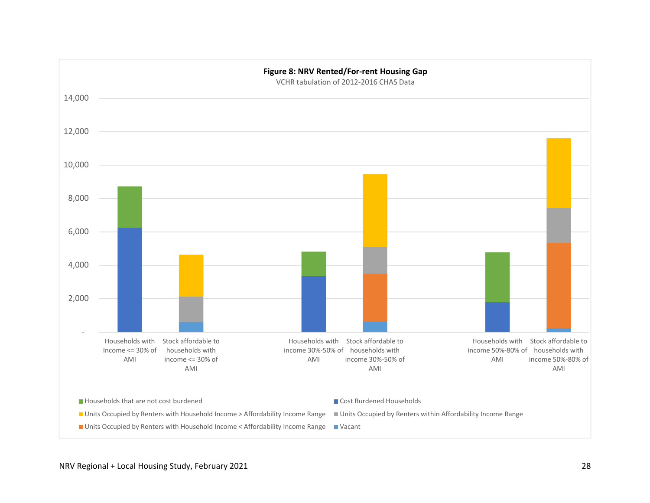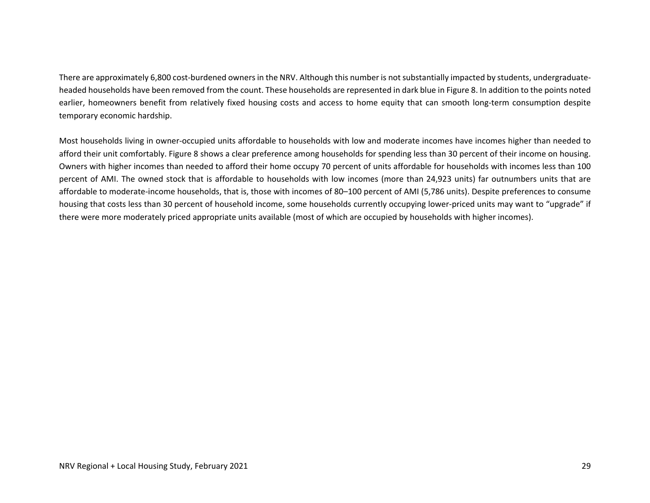There are approximately 6,800 cost-burdened owners in the NRV. Although this number is not substantially impacted by students, undergraduateheaded households have been removed from the count. These households are represented in dark blue in Figure 8. In addition to the points noted earlier, homeowners benefit from relatively fixed housing costs and access to home equity that can smooth long-term consumption despite temporary economic hardship.

Most households living in owner‐occupied units affordable to households with low and moderate incomes have incomes higher than needed to afford their unit comfortably. Figure 8 shows <sup>a</sup> clear preference among households for spending less than 30 percent of their income on housing. Owners with higher incomes than needed to afford their home occupy 70 percent of units affordable for households with incomes less than 100 percent of AMI. The owned stock that is affordable to households with low incomes (more than 24,923 units) far outnumbers units that are affordable to moderate‐income households, that is, those with incomes of 80–100 percent of AMI (5,786 units). Despite preferences to consume housing that costs less than 30 percent of household income, some households currently occupying lower-priced units may want to "upgrade" if there were more moderately priced appropriate units available (most of which are occupied by households with higher incomes).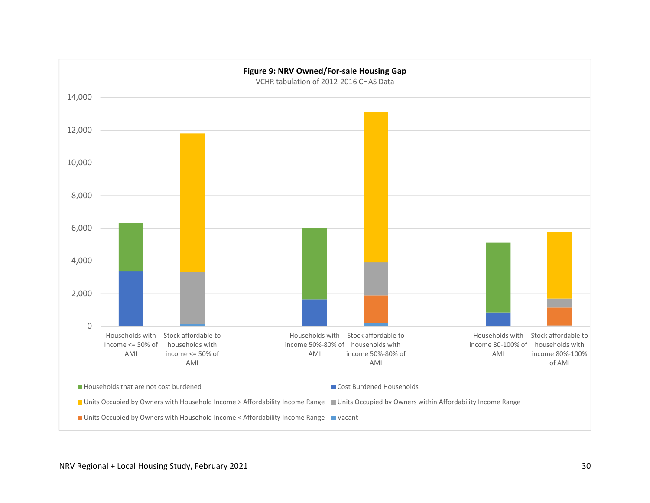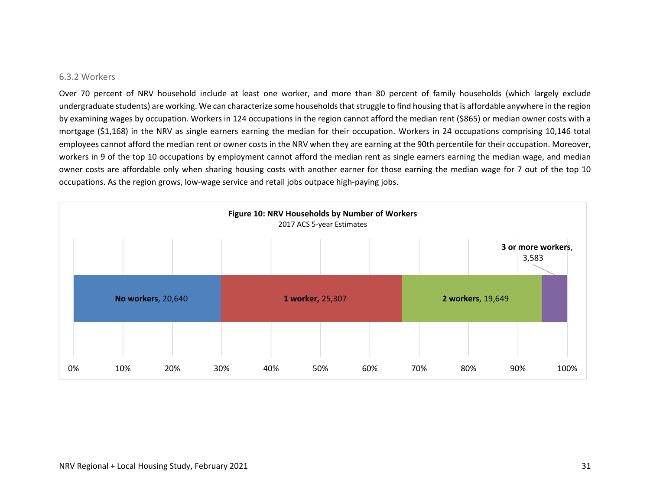#### 6.3.2 Workers

Over 70 percent of NRV household include at least one worker, and more than 80 percent of family households (which largely exclude undergraduate students) are working. We can characterize some households that struggle to find housing that is affordable anywhere in the region by examining wages by occupation. Workers in <sup>124</sup> occupations in the region cannot afford the median rent (\$865) or median owner costs with <sup>a</sup> mortgage (\$1,168) in the NRV as single earners earning the median for their occupation. Workers in <sup>24</sup> occupations comprising 10,146 total employees cannot afford the median rent or owner costs in the NRV when they are earning at the 90th percentile for their occupation. Moreover, workers in 9 of the top 10 occupations by employment cannot afford the median rent as single earners earning the median wage, and median owner costs are affordable only when sharing housing costs with another earner for those earning the median wage for 7 out of the top 10 occupations. As the region grows, low‐wage service and retail jobs outpace high‐paying jobs.

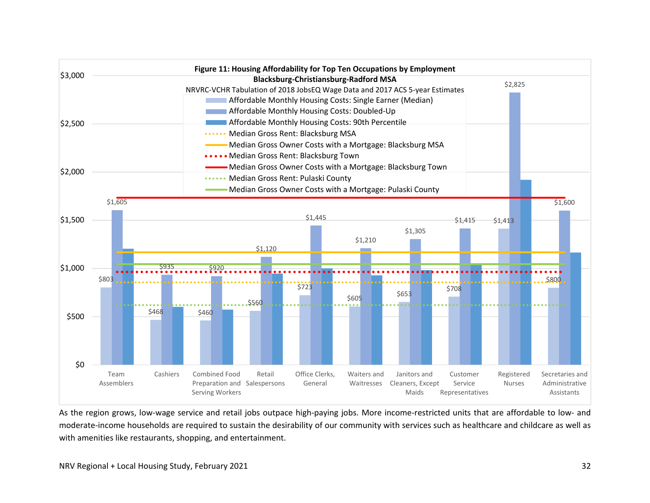

As the region grows, low‐wage service and retail jobs outpace high‐paying jobs. More income‐restricted units that are affordable to low‐ and moderate‐income households are required to sustain the desirability of our community with services such as healthcare and childcare as well as with amenities like restaurants, shopping, and entertainment.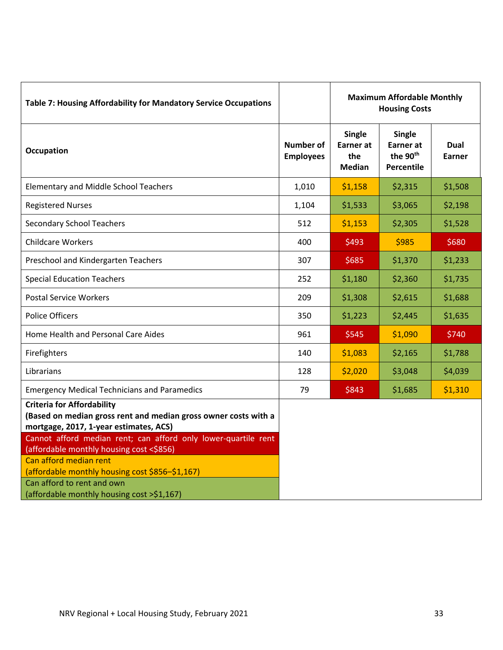| Table 7: Housing Affordability for Mandatory Service Occupations                                                                               |                                      | <b>Maximum Affordable Monthly</b><br><b>Housing Costs</b> |                                                                         |                       |
|------------------------------------------------------------------------------------------------------------------------------------------------|--------------------------------------|-----------------------------------------------------------|-------------------------------------------------------------------------|-----------------------|
| <b>Occupation</b>                                                                                                                              | <b>Number of</b><br><b>Employees</b> | <b>Single</b><br><b>Earner</b> at<br>the<br>Median        | <b>Single</b><br><b>Earner</b> at<br>the 90 <sup>th</sup><br>Percentile | <b>Dual</b><br>Earner |
| <b>Elementary and Middle School Teachers</b>                                                                                                   | 1,010                                | \$1,158                                                   | \$2,315                                                                 | \$1,508               |
| <b>Registered Nurses</b>                                                                                                                       | 1,104                                | \$1,533                                                   | \$3,065                                                                 | \$2,198               |
| <b>Secondary School Teachers</b>                                                                                                               | 512                                  | \$1,153                                                   | \$2,305                                                                 | \$1,528               |
| <b>Childcare Workers</b>                                                                                                                       | 400                                  | \$493                                                     | \$985                                                                   | \$680                 |
| Preschool and Kindergarten Teachers                                                                                                            | 307                                  | \$685                                                     | \$1,370                                                                 | \$1,233               |
| <b>Special Education Teachers</b>                                                                                                              | 252                                  | \$1,180                                                   | \$2,360                                                                 | \$1,735               |
| <b>Postal Service Workers</b>                                                                                                                  | 209                                  | \$1,308                                                   | \$2,615                                                                 | \$1,688               |
| <b>Police Officers</b>                                                                                                                         | 350                                  | \$1,223                                                   | \$2,445                                                                 | \$1,635               |
| Home Health and Personal Care Aides                                                                                                            | 961                                  | \$545                                                     | \$1,090                                                                 | \$740                 |
| Firefighters                                                                                                                                   | 140                                  | \$1,083                                                   | \$2,165                                                                 | \$1,788               |
| Librarians                                                                                                                                     | 128                                  | \$2,020                                                   | \$3,048                                                                 | \$4,039               |
| <b>Emergency Medical Technicians and Paramedics</b>                                                                                            | 79                                   | \$843                                                     | \$1,685                                                                 | \$1,310               |
| <b>Criteria for Affordability</b><br>(Based on median gross rent and median gross owner costs with a<br>mortgage, 2017, 1-year estimates, ACS) |                                      |                                                           |                                                                         |                       |
| Cannot afford median rent; can afford only lower-quartile rent<br>(affordable monthly housing cost <\$856)                                     |                                      |                                                           |                                                                         |                       |
| Can afford median rent<br>(affordable monthly housing cost \$856-\$1,167)                                                                      |                                      |                                                           |                                                                         |                       |
| Can afford to rent and own<br>(affordable monthly housing cost >\$1,167)                                                                       |                                      |                                                           |                                                                         |                       |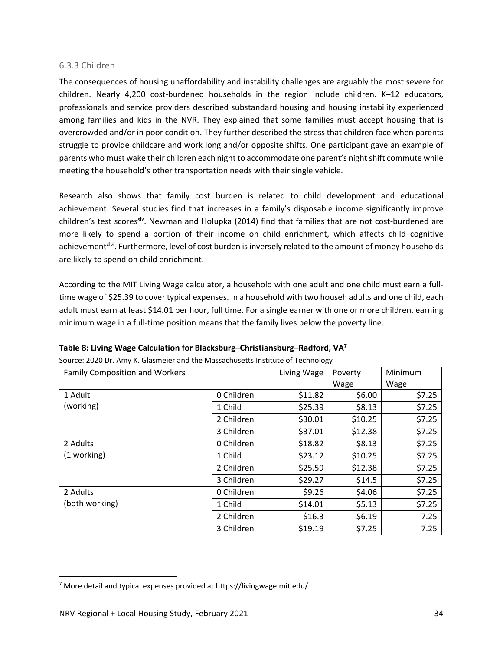### 6.3.3 Children

The consequences of housing unaffordability and instability challenges are arguably the most severe for children. Nearly 4,200 cost-burdened households in the region include children. K-12 educators, professionals and service providers described substandard housing and housing instability experienced among families and kids in the NVR. They explained that some families must accept housing that is overcrowded and/or in poor condition. They further described the stress that children face when parents struggle to provide childcare and work long and/or opposite shifts. One participant gave an example of parents who must wake their children each night to accommodate one parent's night shift commute while meeting the household's other transportation needs with their single vehicle.

Research also shows that family cost burden is related to child development and educational achievement. Several studies find that increases in a family's disposable income significantly improve children's test scores<sup>xlv</sup>. Newman and Holupka (2014) find that families that are not cost-burdened are more likely to spend a portion of their income on child enrichment, which affects child cognitive achievement<sup>xlvi</sup>. Furthermore, level of cost burden is inversely related to the amount of money households are likely to spend on child enrichment.

According to the MIT Living Wage calculator, a household with one adult and one child must earn a full‐ time wage of \$25.39 to cover typical expenses. In a household with two househ adults and one child, each adult must earn at least \$14.01 per hour, full time. For a single earner with one or more children, earning minimum wage in a full‐time position means that the family lives below the poverty line.

| <b>Family Composition and Workers</b> | Living Wage | Poverty | Minimum |        |
|---------------------------------------|-------------|---------|---------|--------|
|                                       |             |         | Wage    | Wage   |
| 1 Adult                               | 0 Children  | \$11.82 | \$6.00  | \$7.25 |
| (working)                             | 1 Child     | \$25.39 | \$8.13  | \$7.25 |
|                                       | 2 Children  | \$30.01 | \$10.25 | \$7.25 |
|                                       | 3 Children  | \$37.01 | \$12.38 | \$7.25 |
| 2 Adults                              | 0 Children  | \$18.82 | \$8.13  | \$7.25 |
| (1 working)                           | 1 Child     | \$23.12 | \$10.25 | \$7.25 |
|                                       | 2 Children  | \$25.59 | \$12.38 | \$7.25 |
|                                       | 3 Children  | \$29.27 | \$14.5  | \$7.25 |
| 2 Adults                              | 0 Children  | \$9.26  | \$4.06  | \$7.25 |
| (both working)                        | 1 Child     | \$14.01 | \$5.13  | \$7.25 |
|                                       | 2 Children  | \$16.3  | \$6.19  | 7.25   |
|                                       | 3 Children  | \$19.19 | \$7.25  | 7.25   |

| Table 8: Living Wage Calculation for Blacksburg-Christiansburg-Radford, VA <sup>7</sup> |  |  |  |  |
|-----------------------------------------------------------------------------------------|--|--|--|--|
|-----------------------------------------------------------------------------------------|--|--|--|--|

Source: 2020 Dr. Amy K. Glasmeier and the Massachusetts Institute of Technology

<sup>7</sup> More detail and typical expenses provided at https://livingwage.mit.edu/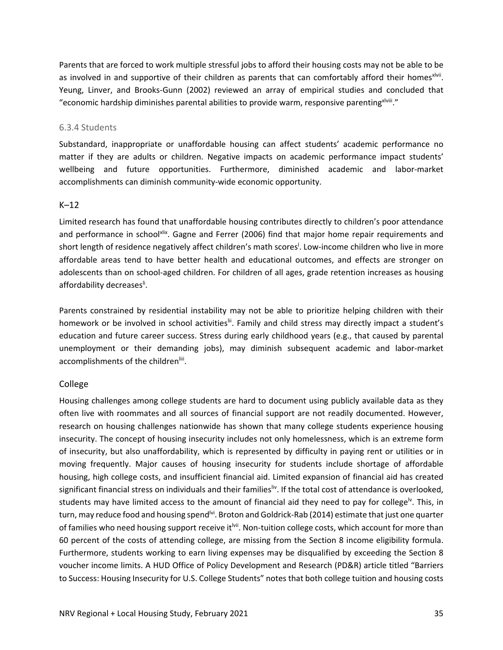Parents that are forced to work multiple stressful jobs to afford their housing costs may not be able to be as involved in and supportive of their children as parents that can comfortably afford their homes<sup>xivii</sup>. Yeung, Linver, and Brooks‐Gunn (2002) reviewed an array of empirical studies and concluded that "economic hardship diminishes parental abilities to provide warm, responsive parentingxlviii."

### 6.3.4 Students

Substandard, inappropriate or unaffordable housing can affect students' academic performance no matter if they are adults or children. Negative impacts on academic performance impact students' wellbeing and future opportunities. Furthermore, diminished academic and labor‐market accomplishments can diminish community‐wide economic opportunity.

## K–12

Limited research has found that unaffordable housing contributes directly to children's poor attendance and performance in schoolxlix. Gagne and Ferrer (2006) find that major home repair requirements and short length of residence negatively affect children's math scores<sup>!</sup>. Low-income children who live in more affordable areas tend to have better health and educational outcomes, and effects are stronger on adolescents than on school‐aged children. For children of all ages, grade retention increases as housing affordability decreases<sup>ii</sup>.

Parents constrained by residential instability may not be able to prioritize helping children with their homework or be involved in school activities<sup>lii</sup>. Family and child stress may directly impact a student's education and future career success. Stress during early childhood years (e.g., that caused by parental unemployment or their demanding jobs), may diminish subsequent academic and labor‐market accomplishments of the children<sup>liii</sup>.

## College

Housing challenges among college students are hard to document using publicly available data as they often live with roommates and all sources of financial support are not readily documented. However, research on housing challenges nationwide has shown that many college students experience housing insecurity. The concept of housing insecurity includes not only homelessness, which is an extreme form of insecurity, but also unaffordability, which is represented by difficulty in paying rent or utilities or in moving frequently. Major causes of housing insecurity for students include shortage of affordable housing, high college costs, and insufficient financial aid. Limited expansion of financial aid has created significant financial stress on individuals and their families  $\mu$ . If the total cost of attendance is overlooked, students may have limited access to the amount of financial aid they need to pay for college<sup>lv</sup>. This, in turn, may reduce food and housing spend<sup>lvi</sup>. Broton and Goldrick-Rab (2014) estimate that just one quarter of families who need housing support receive it<sup>lvii</sup>. Non-tuition college costs, which account for more than 60 percent of the costs of attending college, are missing from the Section 8 income eligibility formula. Furthermore, students working to earn living expenses may be disqualified by exceeding the Section 8 voucher income limits. A HUD Office of Policy Development and Research (PD&R) article titled "Barriers to Success: Housing Insecurity for U.S. College Students" notes that both college tuition and housing costs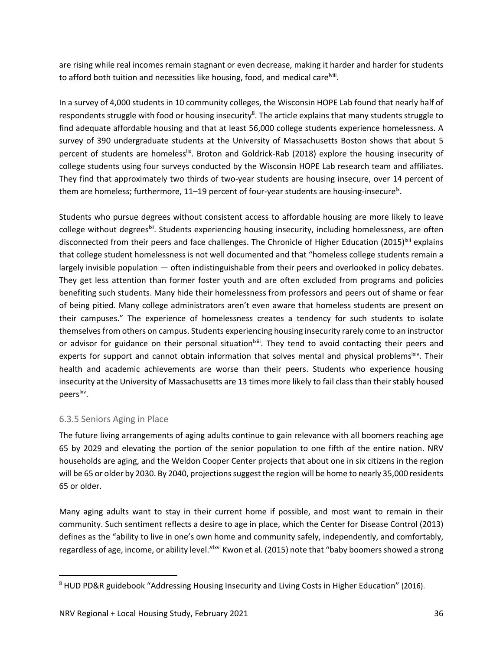are rising while real incomes remain stagnant or even decrease, making it harder and harder for students to afford both tuition and necessities like housing, food, and medical care<sup>lviii</sup>.

In a survey of 4,000 students in 10 community colleges, the Wisconsin HOPE Lab found that nearly half of respondents struggle with food or housing insecurity<sup>8</sup>. The article explains that many students struggle to find adequate affordable housing and that at least 56,000 college students experience homelessness. A survey of 390 undergraduate students at the University of Massachusetts Boston shows that about 5 percent of students are homeless<sup>lix</sup>. Broton and Goldrick-Rab (2018) explore the housing insecurity of college students using four surveys conducted by the Wisconsin HOPE Lab research team and affiliates. They find that approximately two thirds of two‐year students are housing insecure, over 14 percent of them are homeless; furthermore, 11–19 percent of four-year students are housing-insecure<sup>lx</sup>.

Students who pursue degrees without consistent access to affordable housing are more likely to leave college without degrees<sup>|xi</sup>. Students experiencing housing insecurity, including homelessness, are often disconnected from their peers and face challenges. The Chronicle of Higher Education (2015)<sup>|xii</sup> explains that college student homelessness is not well documented and that "homeless college students remain a largely invisible population — often indistinguishable from their peers and overlooked in policy debates. They get less attention than former foster youth and are often excluded from programs and policies benefiting such students. Many hide their homelessness from professors and peers out of shame or fear of being pitied. Many college administrators aren't even aware that homeless students are present on their campuses." The experience of homelessness creates a tendency for such students to isolate themselvesfrom others on campus. Students experiencing housing insecurity rarely come to an instructor or advisor for guidance on their personal situation  $\frac{1}{x}$ . They tend to avoid contacting their peers and experts for support and cannot obtain information that solves mental and physical problems<sup>lxiv</sup>. Their health and academic achievements are worse than their peers. Students who experience housing insecurity at the University of Massachusetts are 13 times more likely to fail class than their stably housed peers<sup>lxv</sup>.

## 6.3.5 Seniors Aging in Place

The future living arrangements of aging adults continue to gain relevance with all boomers reaching age 65 by 2029 and elevating the portion of the senior population to one fifth of the entire nation. NRV households are aging, and the Weldon Cooper Center projects that about one in six citizens in the region will be 65 or older by 2030. By 2040, projections suggest the region will be home to nearly 35,000 residents 65 or older.

Many aging adults want to stay in their current home if possible, and most want to remain in their community. Such sentiment reflects a desire to age in place, which the Center for Disease Control (2013) defines as the "ability to live in one's own home and community safely, independently, and comfortably, regardless of age, income, or ability level."<sup>Ixvi</sup> Kwon et al. (2015) note that "baby boomers showed a strong

<sup>&</sup>lt;sup>8</sup> HUD PD&R guidebook "Addressing Housing Insecurity and Living Costs in Higher Education" (2016).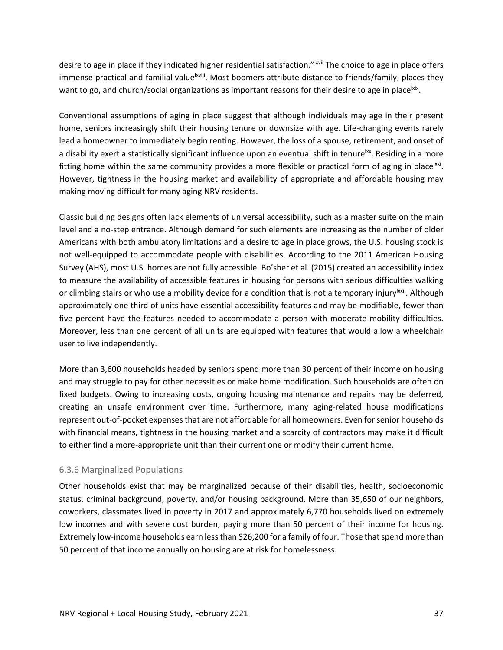desire to age in place if they indicated higher residential satisfaction."<sup>Ixvii</sup> The choice to age in place offers immense practical and familial value<sup>lxviii</sup>. Most boomers attribute distance to friends/family, places they want to go, and church/social organizations as important reasons for their desire to age in place<sup>lxix</sup>.

Conventional assumptions of aging in place suggest that although individuals may age in their present home, seniors increasingly shift their housing tenure or downsize with age. Life-changing events rarely lead a homeowner to immediately begin renting. However, the loss of a spouse, retirement, and onset of a disability exert a statistically significant influence upon an eventual shift in tenure<sup>lxx</sup>. Residing in a more fitting home within the same community provides a more flexible or practical form of aging in place  $\alpha$ However, tightness in the housing market and availability of appropriate and affordable housing may making moving difficult for many aging NRV residents.

Classic building designs often lack elements of universal accessibility, such as a master suite on the main level and a no-step entrance. Although demand for such elements are increasing as the number of older Americans with both ambulatory limitations and a desire to age in place grows, the U.S. housing stock is not well‐equipped to accommodate people with disabilities. According to the 2011 American Housing Survey (AHS), most U.S. homes are not fully accessible. Bo'sher et al. (2015) created an accessibility index to measure the availability of accessible features in housing for persons with serious difficulties walking or climbing stairs or who use a mobility device for a condition that is not a temporary injury<sup>lxxii</sup>. Although approximately one third of units have essential accessibility features and may be modifiable, fewer than five percent have the features needed to accommodate a person with moderate mobility difficulties. Moreover, less than one percent of all units are equipped with features that would allow a wheelchair user to live independently.

More than 3,600 households headed by seniors spend more than 30 percent of their income on housing and may struggle to pay for other necessities or make home modification. Such households are often on fixed budgets. Owing to increasing costs, ongoing housing maintenance and repairs may be deferred, creating an unsafe environment over time. Furthermore, many aging-related house modifications represent out‐of‐pocket expenses that are not affordable for all homeowners. Even for senior households with financial means, tightness in the housing market and a scarcity of contractors may make it difficult to either find a more-appropriate unit than their current one or modify their current home.

## 6.3.6 Marginalized Populations

Other households exist that may be marginalized because of their disabilities, health, socioeconomic status, criminal background, poverty, and/or housing background. More than 35,650 of our neighbors, coworkers, classmates lived in poverty in 2017 and approximately 6,770 households lived on extremely low incomes and with severe cost burden, paying more than 50 percent of their income for housing. Extremely low-income households earn less than \$26,200 for a family of four. Those that spend more than 50 percent of that income annually on housing are at risk for homelessness.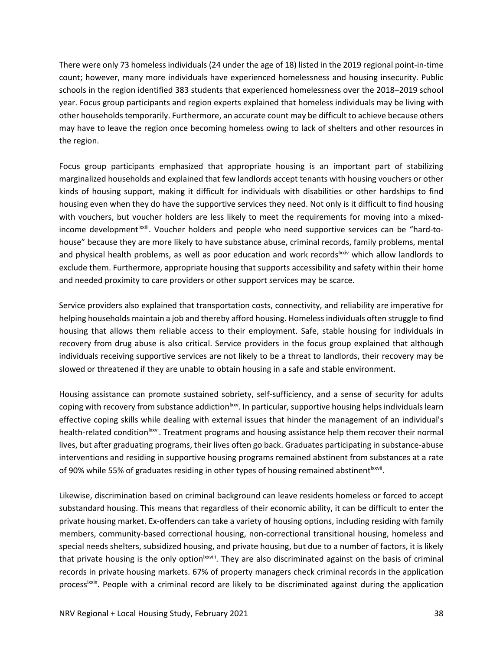There were only 73 homeless individuals (24 under the age of 18) listed in the 2019 regional point‐in‐time count; however, many more individuals have experienced homelessness and housing insecurity. Public schools in the region identified 383 students that experienced homelessness over the 2018–2019 school year. Focus group participants and region experts explained that homeless individuals may be living with other households temporarily. Furthermore, an accurate count may be difficult to achieve because others may have to leave the region once becoming homeless owing to lack of shelters and other resources in the region.

Focus group participants emphasized that appropriate housing is an important part of stabilizing marginalized households and explained that few landlords accept tenants with housing vouchers or other kinds of housing support, making it difficult for individuals with disabilities or other hardships to find housing even when they do have the supportive services they need. Not only is it difficult to find housing with vouchers, but voucher holders are less likely to meet the requirements for moving into a mixedincome development<sup>|xxiii</sup>. Voucher holders and people who need supportive services can be "hard-tohouse" because they are more likely to have substance abuse, criminal records, family problems, mental and physical health problems, as well as poor education and work records<sup>lxxiv</sup> which allow landlords to exclude them. Furthermore, appropriate housing that supports accessibility and safety within their home and needed proximity to care providers or other support services may be scarce.

Service providers also explained that transportation costs, connectivity, and reliability are imperative for helping households maintain a job and thereby afford housing. Homelessindividuals often struggle to find housing that allows them reliable access to their employment. Safe, stable housing for individuals in recovery from drug abuse is also critical. Service providers in the focus group explained that although individuals receiving supportive services are not likely to be a threat to landlords, their recovery may be slowed or threatened if they are unable to obtain housing in a safe and stable environment.

Housing assistance can promote sustained sobriety, self‐sufficiency, and a sense of security for adults coping with recovery from substance addiction xxv. In particular, supportive housing helps individuals learn effective coping skills while dealing with external issues that hinder the management of an individual's health-related condition<sup>lxxvi</sup>. Treatment programs and housing assistance help them recover their normal lives, but after graduating programs, their lives often go back. Graduates participating in substance‐abuse interventions and residing in supportive housing programs remained abstinent from substances at a rate of 90% while 55% of graduates residing in other types of housing remained abstinent  $b^{\text{txvvi}}$ .

Likewise, discrimination based on criminal background can leave residents homeless or forced to accept substandard housing. This means that regardless of their economic ability, it can be difficult to enter the private housing market. Ex‐offenders can take a variety of housing options, including residing with family members, community‐based correctional housing, non‐correctional transitional housing, homeless and special needs shelters, subsidized housing, and private housing, but due to a number of factors, it is likely that private housing is the only option<sup>lxxviii</sup>. They are also discriminated against on the basis of criminal records in private housing markets. 67% of property managers check criminal records in the application process<sup>Ixxix</sup>. People with a criminal record are likely to be discriminated against during the application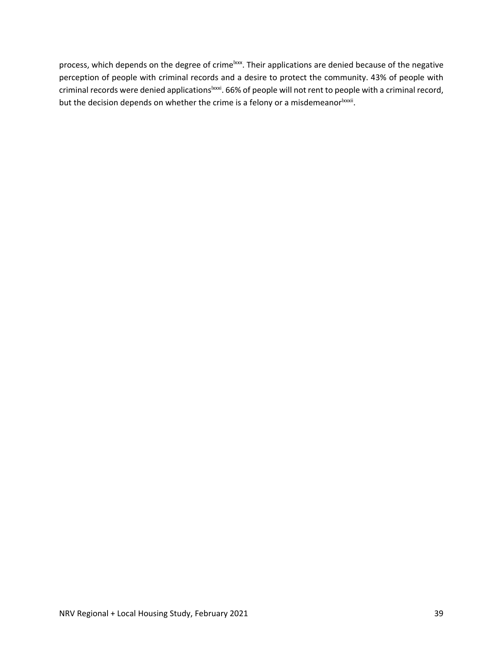process, which depends on the degree of crime<sup>lxxx</sup>. Their applications are denied because of the negative perception of people with criminal records and a desire to protect the community. 43% of people with criminal records were denied applications<sup>1xxxi</sup>. 66% of people will not rent to people with a criminal record, but the decision depends on whether the crime is a felony or a misdemeanor ${}^{|\text{xxx}|}$ .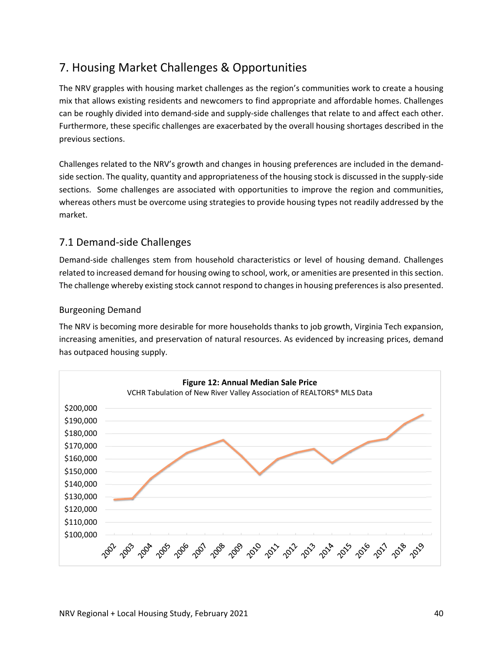# 7. Housing Market Challenges & Opportunities

The NRV grapples with housing market challenges as the region's communities work to create a housing mix that allows existing residents and newcomers to find appropriate and affordable homes. Challenges can be roughly divided into demand‐side and supply‐side challenges that relate to and affect each other. Furthermore, these specific challenges are exacerbated by the overall housing shortages described in the previous sections.

Challenges related to the NRV's growth and changes in housing preferences are included in the demand‐ side section. The quality, quantity and appropriateness of the housing stock is discussed in the supply‐side sections. Some challenges are associated with opportunities to improve the region and communities, whereas others must be overcome using strategies to provide housing types not readily addressed by the market.

# 7.1 Demand‐side Challenges

Demand‐side challenges stem from household characteristics or level of housing demand. Challenges related to increased demand for housing owing to school, work, or amenities are presented in thissection. The challenge whereby existing stock cannot respond to changes in housing preferences is also presented.

## Burgeoning Demand

The NRV is becoming more desirable for more households thanks to job growth, Virginia Tech expansion, increasing amenities, and preservation of natural resources. As evidenced by increasing prices, demand has outpaced housing supply.

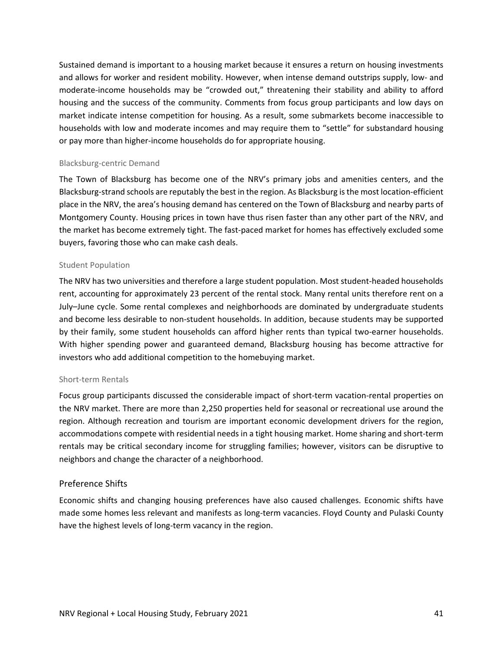Sustained demand is important to a housing market because it ensures a return on housing investments and allows for worker and resident mobility. However, when intense demand outstrips supply, low‐ and moderate-income households may be "crowded out," threatening their stability and ability to afford housing and the success of the community. Comments from focus group participants and low days on market indicate intense competition for housing. As a result, some submarkets become inaccessible to households with low and moderate incomes and may require them to "settle" for substandard housing or pay more than higher‐income households do for appropriate housing.

### Blacksburg‐centric Demand

The Town of Blacksburg has become one of the NRV's primary jobs and amenities centers, and the Blacksburg‐strand schools are reputably the best in the region. As Blacksburg isthe most location‐efficient place in the NRV, the area's housing demand has centered on the Town of Blacksburg and nearby parts of Montgomery County. Housing prices in town have thus risen faster than any other part of the NRV, and the market has become extremely tight. The fast-paced market for homes has effectively excluded some buyers, favoring those who can make cash deals.

### Student Population

The NRV has two universities and therefore a large student population. Most student‐headed households rent, accounting for approximately 23 percent of the rental stock. Many rental units therefore rent on a July–June cycle. Some rental complexes and neighborhoods are dominated by undergraduate students and become less desirable to non‐student households. In addition, because students may be supported by their family, some student households can afford higher rents than typical two-earner households. With higher spending power and guaranteed demand, Blacksburg housing has become attractive for investors who add additional competition to the homebuying market.

### Short‐term Rentals

Focus group participants discussed the considerable impact of short‐term vacation‐rental properties on the NRV market. There are more than 2,250 properties held for seasonal or recreational use around the region. Although recreation and tourism are important economic development drivers for the region, accommodations compete with residential needs in a tight housing market. Home sharing and short-term rentals may be critical secondary income for struggling families; however, visitors can be disruptive to neighbors and change the character of a neighborhood.

### Preference Shifts

Economic shifts and changing housing preferences have also caused challenges. Economic shifts have made some homes less relevant and manifests as long‐term vacancies. Floyd County and Pulaski County have the highest levels of long-term vacancy in the region.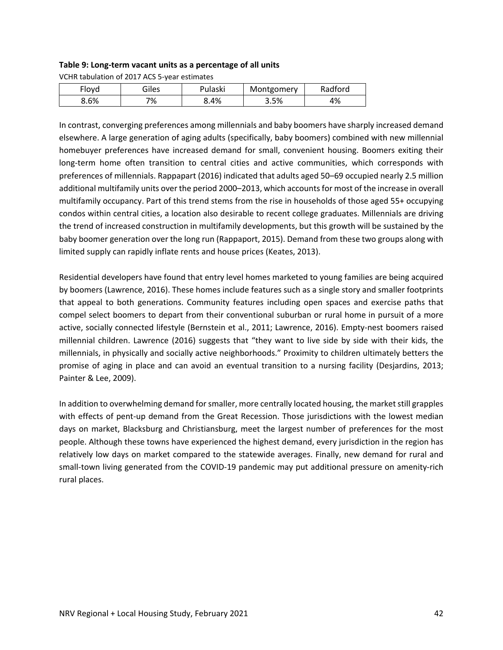### **Table 9: Long‐term vacant units as a percentage of all units**

VCHR tabulation of 2017 ACS 5‐year estimates

| Flovd | Giles | Pulaski | Montgomery | Radford |
|-------|-------|---------|------------|---------|
| 8.6%  | 7%    | 8.4%    | 3.5%       | 4%      |

In contrast, converging preferences among millennials and baby boomers have sharply increased demand elsewhere. A large generation of aging adults (specifically, baby boomers) combined with new millennial homebuyer preferences have increased demand for small, convenient housing. Boomers exiting their long-term home often transition to central cities and active communities, which corresponds with preferences of millennials. Rappapart (2016) indicated that adults aged 50–69 occupied nearly 2.5 million additional multifamily units over the period 2000–2013, which accountsfor most of the increase in overall multifamily occupancy. Part of this trend stems from the rise in households of those aged 55+ occupying condos within central cities, a location also desirable to recent college graduates. Millennials are driving the trend of increased construction in multifamily developments, but this growth will be sustained by the baby boomer generation over the long run (Rappaport, 2015). Demand from these two groups along with limited supply can rapidly inflate rents and house prices (Keates, 2013).

Residential developers have found that entry level homes marketed to young families are being acquired by boomers (Lawrence, 2016). These homes include features such as a single story and smaller footprints that appeal to both generations. Community features including open spaces and exercise paths that compel select boomers to depart from their conventional suburban or rural home in pursuit of a more active, socially connected lifestyle (Bernstein et al., 2011; Lawrence, 2016). Empty‐nest boomers raised millennial children. Lawrence (2016) suggests that "they want to live side by side with their kids, the millennials, in physically and socially active neighborhoods." Proximity to children ultimately betters the promise of aging in place and can avoid an eventual transition to a nursing facility (Desjardins, 2013; Painter & Lee, 2009).

In addition to overwhelming demand for smaller, more centrally located housing, the market still grapples with effects of pent-up demand from the Great Recession. Those jurisdictions with the lowest median days on market, Blacksburg and Christiansburg, meet the largest number of preferences for the most people. Although these towns have experienced the highest demand, every jurisdiction in the region has relatively low days on market compared to the statewide averages. Finally, new demand for rural and small-town living generated from the COVID-19 pandemic may put additional pressure on amenity-rich rural places.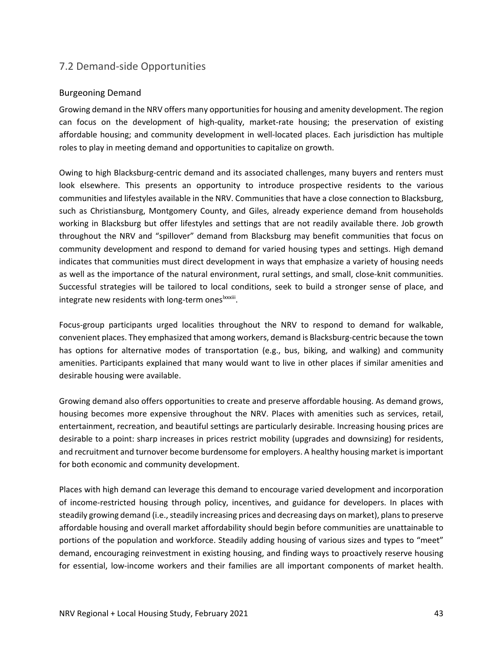# 7.2 Demand‐side Opportunities

## Burgeoning Demand

Growing demand in the NRV offers many opportunities for housing and amenity development. The region can focus on the development of high-quality, market-rate housing; the preservation of existing affordable housing; and community development in well‐located places. Each jurisdiction has multiple roles to play in meeting demand and opportunities to capitalize on growth.

Owing to high Blacksburg-centric demand and its associated challenges, many buyers and renters must look elsewhere. This presents an opportunity to introduce prospective residents to the various communities and lifestyles available in the NRV. Communities that have a close connection to Blacksburg, such as Christiansburg, Montgomery County, and Giles, already experience demand from households working in Blacksburg but offer lifestyles and settings that are not readily available there. Job growth throughout the NRV and "spillover" demand from Blacksburg may benefit communities that focus on community development and respond to demand for varied housing types and settings. High demand indicates that communities must direct development in ways that emphasize a variety of housing needs as well as the importance of the natural environment, rural settings, and small, close‐knit communities. Successful strategies will be tailored to local conditions, seek to build a stronger sense of place, and integrate new residents with long-term ones<sup>Ixxxiii</sup>.

Focus‐group participants urged localities throughout the NRV to respond to demand for walkable, convenient places. They emphasized that among workers, demand is Blacksburg‐centric because the town has options for alternative modes of transportation (e.g., bus, biking, and walking) and community amenities. Participants explained that many would want to live in other places if similar amenities and desirable housing were available.

Growing demand also offers opportunities to create and preserve affordable housing. As demand grows, housing becomes more expensive throughout the NRV. Places with amenities such as services, retail, entertainment, recreation, and beautiful settings are particularly desirable. Increasing housing prices are desirable to a point: sharp increases in prices restrict mobility (upgrades and downsizing) for residents, and recruitment and turnover become burdensome for employers. A healthy housing market is important for both economic and community development.

Places with high demand can leverage this demand to encourage varied development and incorporation of income‐restricted housing through policy, incentives, and guidance for developers. In places with steadily growing demand (i.e., steadily increasing prices and decreasing days on market), plans to preserve affordable housing and overall market affordability should begin before communities are unattainable to portions of the population and workforce. Steadily adding housing of various sizes and types to "meet" demand, encouraging reinvestment in existing housing, and finding ways to proactively reserve housing for essential, low-income workers and their families are all important components of market health.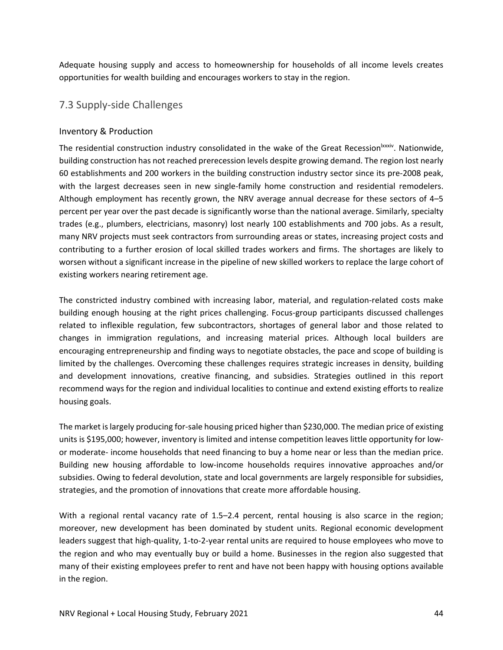Adequate housing supply and access to homeownership for households of all income levels creates opportunities for wealth building and encourages workers to stay in the region.

# 7.3 Supply‐side Challenges

## Inventory & Production

The residential construction industry consolidated in the wake of the Great Recession<sup>lxxxiv</sup>. Nationwide, building construction has not reached prerecession levels despite growing demand. The region lost nearly 60 establishments and 200 workers in the building construction industry sector since its pre‐2008 peak, with the largest decreases seen in new single-family home construction and residential remodelers. Although employment has recently grown, the NRV average annual decrease for these sectors of 4–5 percent per year over the past decade is significantly worse than the national average. Similarly, specialty trades (e.g., plumbers, electricians, masonry) lost nearly 100 establishments and 700 jobs. As a result, many NRV projects must seek contractors from surrounding areas or states, increasing project costs and contributing to a further erosion of local skilled trades workers and firms. The shortages are likely to worsen without a significant increase in the pipeline of new skilled workers to replace the large cohort of existing workers nearing retirement age.

The constricted industry combined with increasing labor, material, and regulation-related costs make building enough housing at the right prices challenging. Focus‐group participants discussed challenges related to inflexible regulation, few subcontractors, shortages of general labor and those related to changes in immigration regulations, and increasing material prices. Although local builders are encouraging entrepreneurship and finding ways to negotiate obstacles, the pace and scope of building is limited by the challenges. Overcoming these challenges requires strategic increases in density, building and development innovations, creative financing, and subsidies. Strategies outlined in this report recommend ways for the region and individual localities to continue and extend existing efforts to realize housing goals.

The market islargely producing for‐sale housing priced higher than \$230,000. The median price of existing units is \$195,000; however, inventory is limited and intense competition leaves little opportunity for low‐ or moderate‐ income households that need financing to buy a home near or less than the median price. Building new housing affordable to low‐income households requires innovative approaches and/or subsidies. Owing to federal devolution, state and local governments are largely responsible for subsidies, strategies, and the promotion of innovations that create more affordable housing.

With a regional rental vacancy rate of 1.5–2.4 percent, rental housing is also scarce in the region; moreover, new development has been dominated by student units. Regional economic development leaders suggest that high-quality, 1-to-2-year rental units are required to house employees who move to the region and who may eventually buy or build a home. Businesses in the region also suggested that many of their existing employees prefer to rent and have not been happy with housing options available in the region.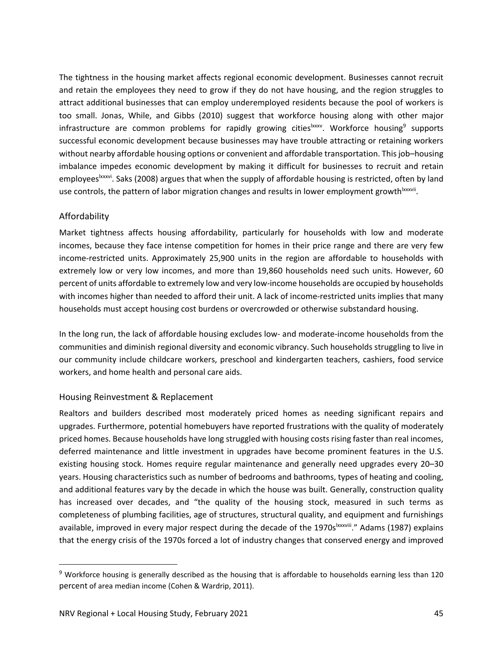The tightness in the housing market affects regional economic development. Businesses cannot recruit and retain the employees they need to grow if they do not have housing, and the region struggles to attract additional businesses that can employ underemployed residents because the pool of workers is too small. Jonas, While, and Gibbs (2010) suggest that workforce housing along with other major infrastructure are common problems for rapidly growing cities  $x$ , Workforce housing<sup>9</sup> supports successful economic development because businesses may have trouble attracting or retaining workers without nearby affordable housing options or convenient and affordable transportation. This job-housing imbalance impedes economic development by making it difficult for businesses to recruit and retain employees<sup>lxxxvi</sup>. Saks (2008) argues that when the supply of affordable housing is restricted, often by land use controls, the pattern of labor migration changes and results in lower employment growth xxxvii.

## Affordability

Market tightness affects housing affordability, particularly for households with low and moderate incomes, because they face intense competition for homes in their price range and there are very few income-restricted units. Approximately 25,900 units in the region are affordable to households with extremely low or very low incomes, and more than 19,860 households need such units. However, 60 percent of units affordable to extremely low and very low‐income households are occupied by households with incomes higher than needed to afford their unit. A lack of income-restricted units implies that many households must accept housing cost burdens or overcrowded or otherwise substandard housing.

In the long run, the lack of affordable housing excludes low- and moderate-income households from the communities and diminish regional diversity and economic vibrancy. Such households struggling to live in our community include childcare workers, preschool and kindergarten teachers, cashiers, food service workers, and home health and personal care aids.

## Housing Reinvestment & Replacement

Realtors and builders described most moderately priced homes as needing significant repairs and upgrades. Furthermore, potential homebuyers have reported frustrations with the quality of moderately priced homes. Because households have long struggled with housing costs rising faster than real incomes, deferred maintenance and little investment in upgrades have become prominent features in the U.S. existing housing stock. Homes require regular maintenance and generally need upgrades every 20–30 years. Housing characteristics such as number of bedrooms and bathrooms, types of heating and cooling, and additional features vary by the decade in which the house was built. Generally, construction quality has increased over decades, and "the quality of the housing stock, measured in such terms as completeness of plumbing facilities, age of structures, structural quality, and equipment and furnishings available, improved in every major respect during the decade of the 1970s<sup>lxxxviii</sup>." Adams (1987) explains that the energy crisis of the 1970s forced a lot of industry changes that conserved energy and improved

<sup>9</sup> Workforce housing is generally described as the housing that is affordable to households earning less than 120 percent of area median income (Cohen & Wardrip, 2011).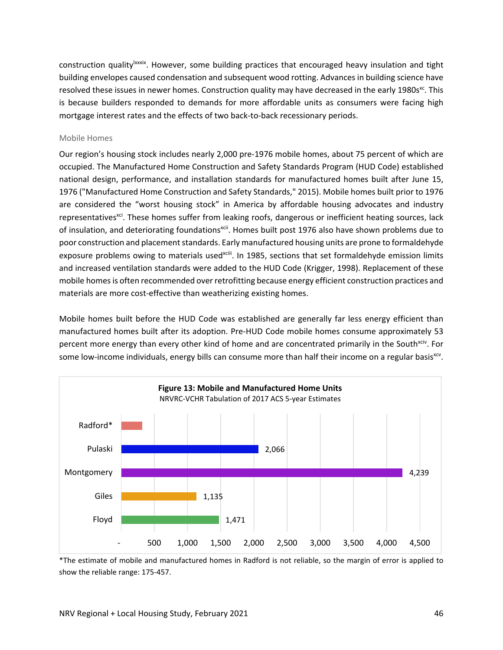construction quality <sup>Ixxxix</sup>. However, some building practices that encouraged heavy insulation and tight building envelopes caused condensation and subsequent wood rotting. Advances in building science have resolved these issues in newer homes. Construction quality may have decreased in the early 1980s<sup>xc</sup>. This is because builders responded to demands for more affordable units as consumers were facing high mortgage interest rates and the effects of two back‐to‐back recessionary periods.

### Mobile Homes

Our region's housing stock includes nearly 2,000 pre‐1976 mobile homes, about 75 percent of which are occupied. The Manufactured Home Construction and Safety Standards Program (HUD Code) established national design, performance, and installation standards for manufactured homes built after June 15, 1976 ("Manufactured Home Construction and Safety Standards," 2015). Mobile homes built prior to 1976 are considered the "worst housing stock" in America by affordable housing advocates and industry representatives<sup>xci</sup>. These homes suffer from leaking roofs, dangerous or inefficient heating sources, lack of insulation, and deteriorating foundations<sup>xcii</sup>. Homes built post 1976 also have shown problems due to poor construction and placement standards. Early manufactured housing units are prone to formaldehyde exposure problems owing to materials usedxciii. In 1985, sections that set formaldehyde emission limits and increased ventilation standards were added to the HUD Code (Krigger, 1998). Replacement of these mobile homesis often recommended over retrofitting because energy efficient construction practices and materials are more cost-effective than weatherizing existing homes.

Mobile homes built before the HUD Code was established are generally far less energy efficient than manufactured homes built after its adoption. Pre‐HUD Code mobile homes consume approximately 53 percent more energy than every other kind of home and are concentrated primarily in the South<sup>xciv</sup>. For some low-income individuals, energy bills can consume more than half their income on a regular basis<sup>xcv</sup>.



\*The estimate of mobile and manufactured homes in Radford is not reliable, so the margin of error is applied to show the reliable range: 175‐457.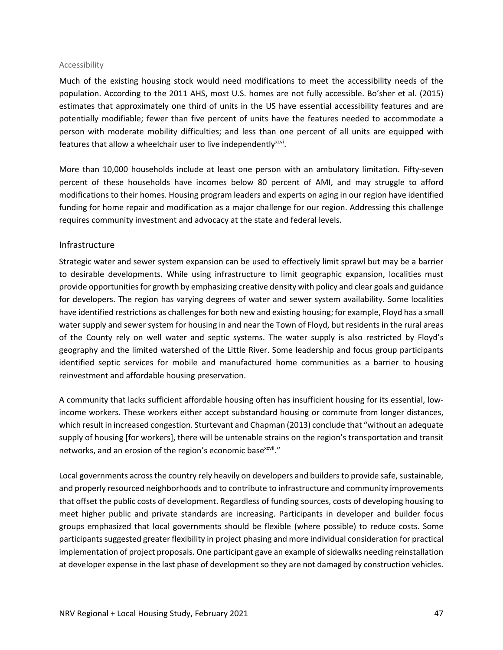#### Accessibility

Much of the existing housing stock would need modifications to meet the accessibility needs of the population. According to the 2011 AHS, most U.S. homes are not fully accessible. Bo'sher et al. (2015) estimates that approximately one third of units in the US have essential accessibility features and are potentially modifiable; fewer than five percent of units have the features needed to accommodate a person with moderate mobility difficulties; and less than one percent of all units are equipped with features that allow a wheelchair user to live independently $x^{ccvi}$ .

More than 10,000 households include at least one person with an ambulatory limitation. Fifty-seven percent of these households have incomes below 80 percent of AMI, and may struggle to afford modifications to their homes. Housing program leaders and experts on aging in our region have identified funding for home repair and modification as a major challenge for our region. Addressing this challenge requires community investment and advocacy at the state and federal levels.

### Infrastructure

Strategic water and sewer system expansion can be used to effectively limit sprawl but may be a barrier to desirable developments. While using infrastructure to limit geographic expansion, localities must provide opportunitiesfor growth by emphasizing creative density with policy and clear goals and guidance for developers. The region has varying degrees of water and sewer system availability. Some localities have identified restrictions as challenges for both new and existing housing; for example, Floyd has a small water supply and sewer system for housing in and near the Town of Floyd, but residents in the rural areas of the County rely on well water and septic systems. The water supply is also restricted by Floyd's geography and the limited watershed of the Little River. Some leadership and focus group participants identified septic services for mobile and manufactured home communities as a barrier to housing reinvestment and affordable housing preservation.

A community that lacks sufficient affordable housing often has insufficient housing for its essential, low‐ income workers. These workers either accept substandard housing or commute from longer distances, which result in increased congestion. Sturtevant and Chapman (2013) conclude that "without an adequate supply of housing [for workers], there will be untenable strains on the region's transportation and transit networks, and an erosion of the region's economic base<sup>xcvii</sup>."

Local governments across the country rely heavily on developers and builders to provide safe, sustainable, and properly resourced neighborhoods and to contribute to infrastructure and community improvements that offset the public costs of development. Regardless of funding sources, costs of developing housing to meet higher public and private standards are increasing. Participants in developer and builder focus groups emphasized that local governments should be flexible (where possible) to reduce costs. Some participantssuggested greater flexibility in project phasing and more individual consideration for practical implementation of project proposals. One participant gave an example of sidewalks needing reinstallation at developer expense in the last phase of development so they are not damaged by construction vehicles.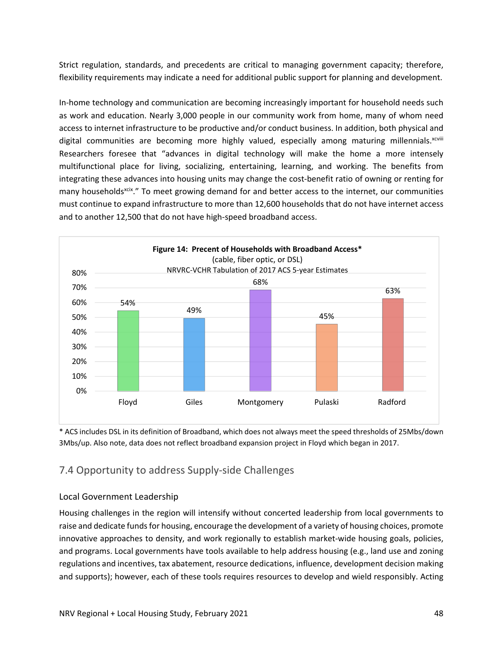Strict regulation, standards, and precedents are critical to managing government capacity; therefore, flexibility requirements may indicate a need for additional public support for planning and development.

In-home technology and communication are becoming increasingly important for household needs such as work and education. Nearly 3,000 people in our community work from home, many of whom need access to internet infrastructure to be productive and/or conduct business. In addition, both physical and digital communities are becoming more highly valued, especially among maturing millennials. $x_{\text{coll}}$ Researchers foresee that "advances in digital technology will make the home a more intensely multifunctional place for living, socializing, entertaining, learning, and working. The benefits from integrating these advances into housing units may change the cost-benefit ratio of owning or renting for many households<sup>xcix</sup>." To meet growing demand for and better access to the internet, our communities must continue to expand infrastructure to more than 12,600 households that do not have internet access and to another 12,500 that do not have high‐speed broadband access.



\* ACS includes DSL in its definition of Broadband, which does not always meet the speed thresholds of 25Mbs/down 3Mbs/up. Also note, data does not reflect broadband expansion project in Floyd which began in 2017.

# 7.4 Opportunity to address Supply‐side Challenges

## Local Government Leadership

Housing challenges in the region will intensify without concerted leadership from local governments to raise and dedicate funds for housing, encourage the development of a variety of housing choices, promote innovative approaches to density, and work regionally to establish market-wide housing goals, policies, and programs. Local governments have tools available to help address housing (e.g., land use and zoning regulations and incentives, tax abatement, resource dedications, influence, development decision making and supports); however, each of these tools requires resources to develop and wield responsibly. Acting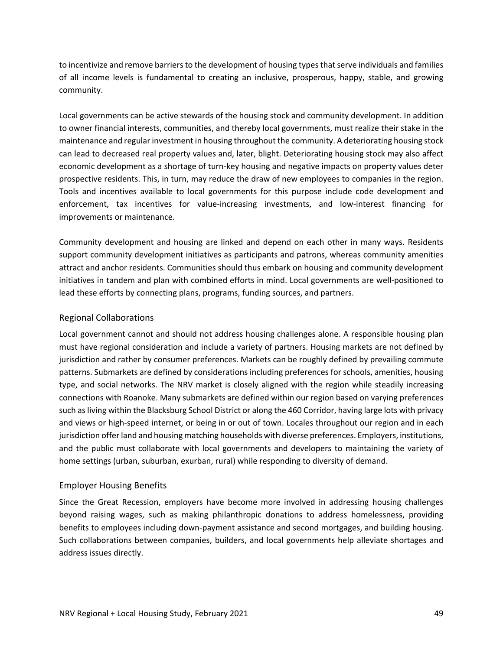to incentivize and remove barriers to the development of housing types that serve individuals and families of all income levels is fundamental to creating an inclusive, prosperous, happy, stable, and growing community.

Local governments can be active stewards of the housing stock and community development. In addition to owner financial interests, communities, and thereby local governments, must realize their stake in the maintenance and regular investment in housing throughout the community. A deteriorating housing stock can lead to decreased real property values and, later, blight. Deteriorating housing stock may also affect economic development as a shortage of turn-key housing and negative impacts on property values deter prospective residents. This, in turn, may reduce the draw of new employees to companies in the region. Tools and incentives available to local governments for this purpose include code development and enforcement, tax incentives for value-increasing investments, and low-interest financing for improvements or maintenance.

Community development and housing are linked and depend on each other in many ways. Residents support community development initiatives as participants and patrons, whereas community amenities attract and anchor residents. Communities should thus embark on housing and community development initiatives in tandem and plan with combined efforts in mind. Local governments are well‐positioned to lead these efforts by connecting plans, programs, funding sources, and partners.

## Regional Collaborations

Local government cannot and should not address housing challenges alone. A responsible housing plan must have regional consideration and include a variety of partners. Housing markets are not defined by jurisdiction and rather by consumer preferences. Markets can be roughly defined by prevailing commute patterns. Submarkets are defined by considerations including preferences for schools, amenities, housing type, and social networks. The NRV market is closely aligned with the region while steadily increasing connections with Roanoke. Many submarkets are defined within our region based on varying preferences such asliving within the Blacksburg School District or along the 460 Corridor, having large lots with privacy and views or high‐speed internet, or being in or out of town. Locales throughout our region and in each jurisdiction offer land and housing matching households with diverse preferences. Employers, institutions, and the public must collaborate with local governments and developers to maintaining the variety of home settings (urban, suburban, exurban, rural) while responding to diversity of demand.

## Employer Housing Benefits

Since the Great Recession, employers have become more involved in addressing housing challenges beyond raising wages, such as making philanthropic donations to address homelessness, providing benefits to employees including down‐payment assistance and second mortgages, and building housing. Such collaborations between companies, builders, and local governments help alleviate shortages and address issues directly.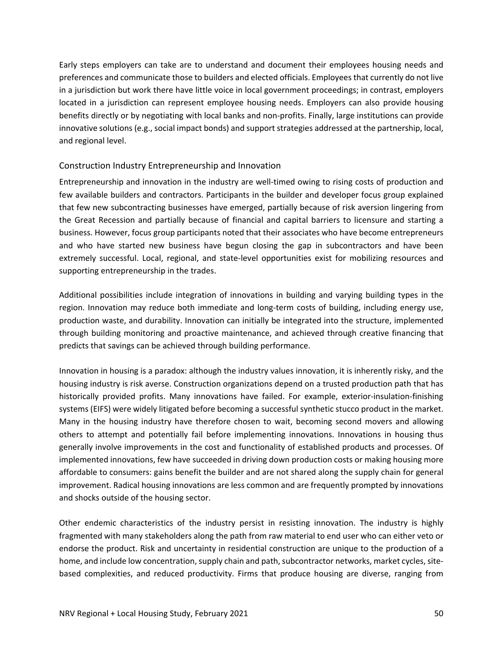Early steps employers can take are to understand and document their employees housing needs and preferences and communicate those to builders and elected officials. Employees that currently do not live in a jurisdiction but work there have little voice in local government proceedings; in contrast, employers located in a jurisdiction can represent employee housing needs. Employers can also provide housing benefits directly or by negotiating with local banks and non‐profits. Finally, large institutions can provide innovative solutions (e.g., social impact bonds) and support strategies addressed at the partnership, local, and regional level.

### Construction Industry Entrepreneurship and Innovation

Entrepreneurship and innovation in the industry are well‐timed owing to rising costs of production and few available builders and contractors. Participants in the builder and developer focus group explained that few new subcontracting businesses have emerged, partially because of risk aversion lingering from the Great Recession and partially because of financial and capital barriers to licensure and starting a business. However, focus group participants noted that their associates who have become entrepreneurs and who have started new business have begun closing the gap in subcontractors and have been extremely successful. Local, regional, and state-level opportunities exist for mobilizing resources and supporting entrepreneurship in the trades.

Additional possibilities include integration of innovations in building and varying building types in the region. Innovation may reduce both immediate and long-term costs of building, including energy use, production waste, and durability. Innovation can initially be integrated into the structure, implemented through building monitoring and proactive maintenance, and achieved through creative financing that predicts that savings can be achieved through building performance.

Innovation in housing is a paradox: although the industry values innovation, it is inherently risky, and the housing industry is risk averse. Construction organizations depend on a trusted production path that has historically provided profits. Many innovations have failed. For example, exterior-insulation-finishing systems (EIFS) were widely litigated before becoming a successful synthetic stucco product in the market. Many in the housing industry have therefore chosen to wait, becoming second movers and allowing others to attempt and potentially fail before implementing innovations. Innovations in housing thus generally involve improvements in the cost and functionality of established products and processes. Of implemented innovations, few have succeeded in driving down production costs or making housing more affordable to consumers: gains benefit the builder and are not shared along the supply chain for general improvement. Radical housing innovations are less common and are frequently prompted by innovations and shocks outside of the housing sector.

Other endemic characteristics of the industry persist in resisting innovation. The industry is highly fragmented with many stakeholders along the path from raw material to end user who can either veto or endorse the product. Risk and uncertainty in residential construction are unique to the production of a home, and include low concentration, supply chain and path, subcontractor networks, market cycles, site– based complexities, and reduced productivity. Firms that produce housing are diverse, ranging from